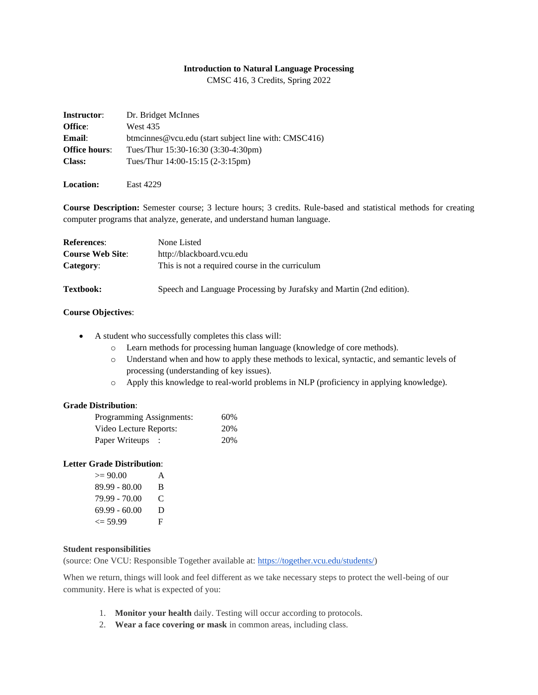#### **Introduction to Natural Language Processing**

CMSC 416, 3 Credits, Spring 2022

| <b>Instructor:</b>   | Dr. Bridget McInnes                                  |
|----------------------|------------------------------------------------------|
| Office:              | <b>West 435</b>                                      |
| <b>Email:</b>        | btmcinnes@vcu.edu (start subject line with: CMSC416) |
| <b>Office hours:</b> | Tues/Thur 15:30-16:30 (3:30-4:30pm)                  |
| <b>Class:</b>        | Tues/Thur $14:00-15:15(2-3:15pm)$                    |
|                      |                                                      |

**Location:** East 4229

**Course Description:** Semester course; 3 lecture hours; 3 credits. Rule-based and statistical methods for creating computer programs that analyze, generate, and understand human language.

| <b>References:</b>      | None Listed                                                          |  |
|-------------------------|----------------------------------------------------------------------|--|
| <b>Course Web Site:</b> | http://blackboard.vcu.edu                                            |  |
| Category:               | This is not a required course in the curriculum                      |  |
| <b>Textbook:</b>        | Speech and Language Processing by Jurafsky and Martin (2nd edition). |  |

### **Course Objectives**:

- A student who successfully completes this class will:
	- o Learn methods for processing human language (knowledge of core methods).
	- o Understand when and how to apply these methods to lexical, syntactic, and semantic levels of processing (understanding of key issues).
	- o Apply this knowledge to real-world problems in NLP (proficiency in applying knowledge).

## **Grade Distribution**:

| Programming Assignments: |  | 60% |  |
|--------------------------|--|-----|--|
| Video Lecture Reports:   |  |     |  |
| Paper Writeups :         |  | 20% |  |

#### **Letter Grade Distribution**:

| $>= 90.00$         | A |
|--------------------|---|
| 89.99 - 80.00      | B |
| 79.99 - 70.00      | C |
| 69.99 - 60.00      | D |
| $\epsilon = 59.99$ | F |
|                    |   |

# **Student responsibilities**

(source: One VCU: Responsible Together available at: [https://together.vcu.edu/students/\)](https://together.vcu.edu/students/)

When we return, things will look and feel different as we take necessary steps to protect the well-being of our community. Here is what is expected of you:

- 1. **Monitor your health** daily. Testing will occur according to protocols.
- 2. **Wear a face covering or mask** in common areas, including class.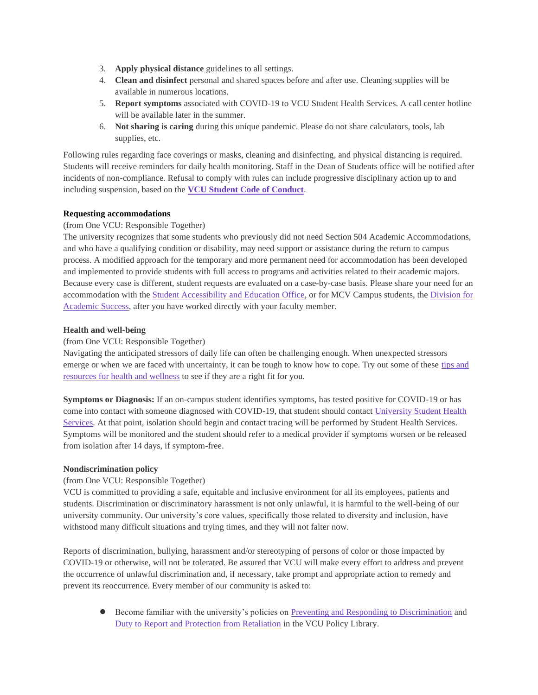- 3. **Apply physical distance** guidelines to all settings.
- 4. **Clean and disinfect** personal and shared spaces before and after use. Cleaning supplies will be available in numerous locations.
- 5. **Report symptoms** associated with COVID-19 to VCU Student Health Services. A call center hotline will be available later in the summer.
- 6. **Not sharing is caring** during this unique pandemic. Please do not share calculators, tools, lab supplies, etc.

Following rules regarding face coverings or masks, cleaning and disinfecting, and physical distancing is required. Students will receive reminders for daily health monitoring. Staff in the Dean of Students office will be notified after incidents of non-compliance. Refusal to comply with rules can include progressive disciplinary action up to and including suspension, based on the **[VCU Student Code of Conduct](https://conduct.students.vcu.edu/student-code-of-conduct/)**.

# **Requesting accommodations**

# (from One VCU: Responsible Together)

The university recognizes that some students who previously did not need Section 504 Academic Accommodations, and who have a qualifying condition or disability, may need support or assistance during the return to campus process. A modified approach for the temporary and more permanent need for accommodation has been developed and implemented to provide students with full access to programs and activities related to their academic majors. Because every case is different, student requests are evaluated on a case-by-case basis. Please share your need for an accommodation with the [Student Accessibility and Education Office,](https://saeo.vcu.edu/) or for MCV Campus students, th[e Division for](https://das.vcu.edu/)  [Academic Success,](https://das.vcu.edu/) after you have worked directly with your faculty member.

# **Health and well-being**

# (from One VCU: Responsible Together)

Navigating the anticipated stressors of daily life can often be challenging enough. When unexpected stressors emerge or when we are faced with uncertainty, it can be tough to know how to cope. Try out some of these tips and [resources for health and wellness](https://students.vcu.edu/about/keep-on-being-well-at-vcu/) to see if they are a right fit for you.

**Symptoms or Diagnosis:** If an on-campus student identifies symptoms, has tested positive for COVID-19 or has come into contact with someone diagnosed with COVID-19, that student should contac[t University Student Health](https://health.students.vcu.edu/)  [Services.](https://health.students.vcu.edu/) At that point, isolation should begin and contact tracing will be performed by Student Health Services. Symptoms will be monitored and the student should refer to a medical provider if symptoms worsen or be released from isolation after 14 days, if symptom-free.

## **Nondiscrimination policy**

## (from One VCU: Responsible Together)

VCU is committed to providing a safe, equitable and inclusive environment for all its employees, patients and students. Discrimination or discriminatory harassment is not only unlawful, it is harmful to the well-being of our university community. Our university's core values, specifically those related to diversity and inclusion, have withstood many difficult situations and trying times, and they will not falter now.

Reports of discrimination, bullying, harassment and/or stereotyping of persons of color or those impacted by COVID-19 or otherwise, will not be tolerated. Be assured that VCU will make every effort to address and prevent the occurrence of unlawful discrimination and, if necessary, take prompt and appropriate action to remedy and prevent its reoccurrence. Every member of our community is asked to:

● Become familiar with the university's policies on [Preventing and Responding to Discrimination](https://policy.vcu.edu/universitywide-policies/policies/preventing-and-responding-to-discrimination.html) and [Duty to Report and Protection from Retaliation](https://policy.vcu.edu/universitywide-policies/policies/duty-to-report-and-protection-from-retaliation.html) in the VCU Policy Library.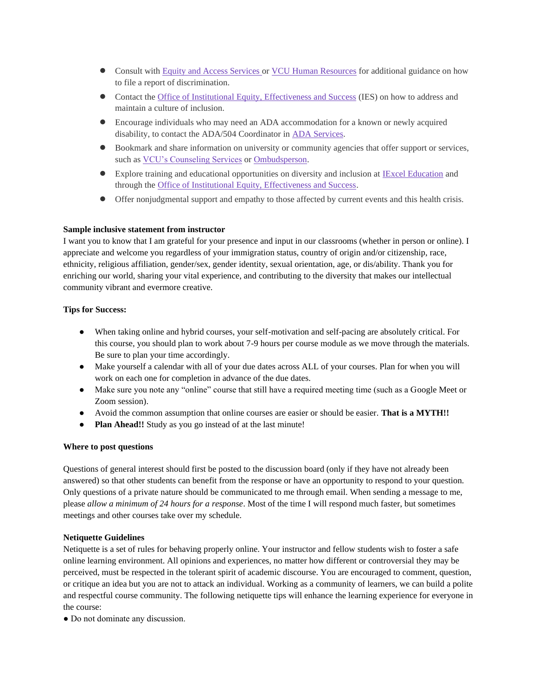- Consult with [Equity and Access Services o](https://equity.vcu.edu/)r [VCU Human Resources](https://hr.vcu.edu/) for additional guidance on how to file a report of discrimination.
- Contact the [Office of Institutional Equity, Effectiveness and Success](https://inclusive.vcu.edu/) (IES) on how to address and maintain a culture of inclusion.
- Encourage individuals who may need an ADA accommodation for a known or newly acquired disability, to contact the ADA/504 Coordinator in [ADA Services.](https://equity.vcu.edu/ada/)
- Bookmark and share information on university or community agencies that offer support or services, such a[s VCU's Counseling Services](https://counseling.vcu.edu/) or [Ombudsperson.](https://ombudsperson.vcu.edu/)
- Explore training and educational opportunities on diversity and inclusion at [IExcel Education](https://inclusive.vcu.edu/iexcel/) and through the [Office of Institutional Equity, Effectiveness and Success.](https://inclusive.vcu.edu/)
- Offer nonjudgmental support and empathy to those affected by current events and this health crisis.

### **Sample inclusive statement from instructor**

I want you to know that I am grateful for your presence and input in our classrooms (whether in person or online). I appreciate and welcome you regardless of your immigration status, country of origin and/or citizenship, race, ethnicity, religious affiliation, gender/sex, gender identity, sexual orientation, age, or dis/ability. Thank you for enriching our world, sharing your vital experience, and contributing to the diversity that makes our intellectual community vibrant and evermore creative.

### **Tips for Success:**

- When taking online and hybrid courses, your self-motivation and self-pacing are absolutely critical. For this course, you should plan to work about 7-9 hours per course module as we move through the materials. Be sure to plan your time accordingly.
- Make yourself a calendar with all of your due dates across ALL of your courses. Plan for when you will work on each one for completion in advance of the due dates.
- Make sure you note any "online" course that still have a required meeting time (such as a Google Meet or Zoom session).
- Avoid the common assumption that online courses are easier or should be easier. **That is a MYTH!!**
- **Plan Ahead!!** Study as you go instead of at the last minute!

#### **Where to post questions**

Questions of general interest should first be posted to the discussion board (only if they have not already been answered) so that other students can benefit from the response or have an opportunity to respond to your question. Only questions of a private nature should be communicated to me through email. When sending a message to me, please *allow a minimum of 24 hours for a response*. Most of the time I will respond much faster, but sometimes meetings and other courses take over my schedule.

#### **Netiquette Guidelines**

Netiquette is a set of rules for behaving properly online. Your instructor and fellow students wish to foster a safe online learning environment. All opinions and experiences, no matter how different or controversial they may be perceived, must be respected in the tolerant spirit of academic discourse. You are encouraged to comment, question, or critique an idea but you are not to attack an individual. Working as a community of learners, we can build a polite and respectful course community. The following netiquette tips will enhance the learning experience for everyone in the course:

● Do not dominate any discussion.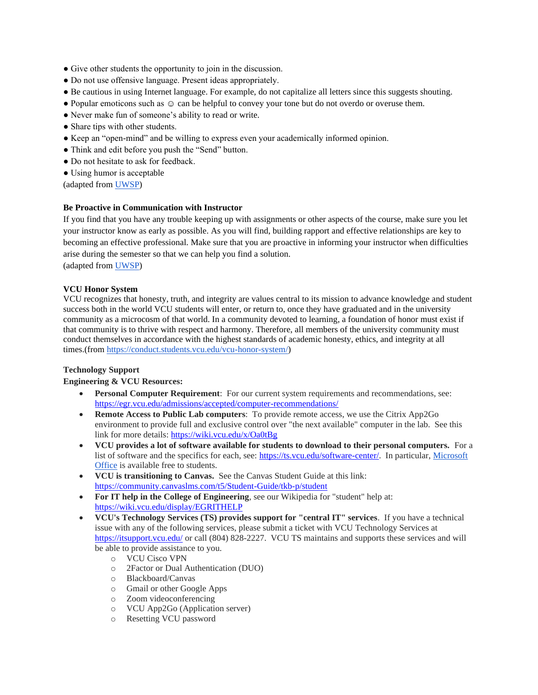- Give other students the opportunity to join in the discussion.
- Do not use offensive language. Present ideas appropriately.
- Be cautious in using Internet language. For example, do not capitalize all letters since this suggests shouting.
- Popular emoticons such as  $\circledcirc$  can be helpful to convey your tone but do not overdo or overuse them.
- Never make fun of someone's ability to read or write.
- Share tips with other students.
- Keep an "open-mind" and be willing to express even your academically informed opinion.
- Think and edit before you push the "Send" button.
- Do not hesitate to ask for feedback.
- Using humor is acceptable

(adapted from [UWSP\)](https://www.uwsp.edu/acadaff/2015%20Monitoring%20Appendix/Appendix%20B6%20-%20DE%20Course%20Syllabus%20Template.pdf)

# **Be Proactive in Communication with Instructor**

If you find that you have any trouble keeping up with assignments or other aspects of the course, make sure you let your instructor know as early as possible. As you will find, building rapport and effective relationships are key to becoming an effective professional. Make sure that you are proactive in informing your instructor when difficulties arise during the semester so that we can help you find a solution. (adapted from [UWSP\)](https://www.uwsp.edu/acadaff/2015%20Monitoring%20Appendix/Appendix%20B6%20-%20DE%20Course%20Syllabus%20Template.pdf)

## **VCU Honor System**

VCU recognizes that honesty, truth, and integrity are values central to its mission to advance knowledge and student success both in the world VCU students will enter, or return to, once they have graduated and in the university community as a microcosm of that world. In a community devoted to learning, a foundation of honor must exist if that community is to thrive with respect and harmony. Therefore, all members of the university community must conduct themselves in accordance with the highest standards of academic honesty, ethics, and integrity at all times.(from [https://conduct.students.vcu.edu/vcu-honor-system/\)](https://conduct.students.vcu.edu/vcu-honor-system/)

## **Technology Support**

## **Engineering & VCU Resources:**

- **Personal Computer Requirement**: For our current system requirements and recommendations, see: <https://egr.vcu.edu/admissions/accepted/computer-recommendations/>
- **Remote Access to Public Lab computers**: To provide remote access, we use the Citrix App2Go environment to provide full and exclusive control over "the next available" computer in the lab. See this link for more details[: https://wiki.vcu.edu/x/Oa0tBg](https://wiki.vcu.edu/x/Oa0tBg)
- **VCU provides a lot of software available for students to download to their personal computers.** For a list of software and the specifics for each, see: [https://ts.vcu.edu/software-center/.](https://ts.vcu.edu/software-center/) In particular, [Microsoft](https://go.vcu.edu/microsoft)  [Office](https://go.vcu.edu/microsoft) is available free to students.
- **VCU is transitioning to Canvas.** See the Canvas Student Guide at this link: <https://community.canvaslms.com/t5/Student-Guide/tkb-p/student>
- **For IT help in the College of Engineering**, see our Wikipedia for "student" help at: <https://wiki.vcu.edu/display/EGRITHELP>
- **VCU's Technology Services (TS) provides support for "central IT" services**. If you have a technical issue with any of the following services, please submit a ticket with VCU Technology Services at <https://itsupport.vcu.edu/> or call (804) 828-2227. VCU TS maintains and supports these services and will be able to provide assistance to you.
	- o VCU Cisco VPN
	- o 2Factor or Dual Authentication (DUO)
	- o Blackboard/Canvas
	- o Gmail or other Google Apps
	- o Zoom videoconferencing
	- o VCU App2Go (Application server)
	- o Resetting VCU password